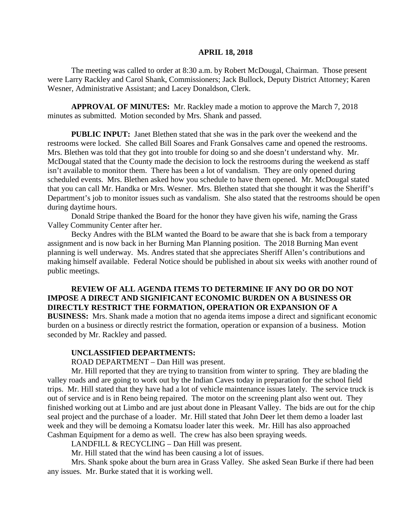#### **APRIL 18, 2018**

The meeting was called to order at 8:30 a.m. by Robert McDougal, Chairman. Those present were Larry Rackley and Carol Shank, Commissioners; Jack Bullock, Deputy District Attorney; Karen Wesner, Administrative Assistant; and Lacey Donaldson, Clerk.

**APPROVAL OF MINUTES:** Mr. Rackley made a motion to approve the March 7, 2018 minutes as submitted. Motion seconded by Mrs. Shank and passed.

**PUBLIC INPUT:** Janet Blethen stated that she was in the park over the weekend and the restrooms were locked. She called Bill Soares and Frank Gonsalves came and opened the restrooms. Mrs. Blethen was told that they got into trouble for doing so and she doesn't understand why. Mr. McDougal stated that the County made the decision to lock the restrooms during the weekend as staff isn't available to monitor them. There has been a lot of vandalism. They are only opened during scheduled events. Mrs. Blethen asked how you schedule to have them opened. Mr. McDougal stated that you can call Mr. Handka or Mrs. Wesner. Mrs. Blethen stated that she thought it was the Sheriff's Department's job to monitor issues such as vandalism. She also stated that the restrooms should be open during daytime hours.

Donald Stripe thanked the Board for the honor they have given his wife, naming the Grass Valley Community Center after her.

Becky Andres with the BLM wanted the Board to be aware that she is back from a temporary assignment and is now back in her Burning Man Planning position. The 2018 Burning Man event planning is well underway. Ms. Andres stated that she appreciates Sheriff Allen's contributions and making himself available. Federal Notice should be published in about six weeks with another round of public meetings.

## **REVIEW OF ALL AGENDA ITEMS TO DETERMINE IF ANY DO OR DO NOT IMPOSE A DIRECT AND SIGNIFICANT ECONOMIC BURDEN ON A BUSINESS OR DIRECTLY RESTRICT THE FORMATION, OPERATION OR EXPANSION OF A**

**BUSINESS:** Mrs. Shank made a motion that no agenda items impose a direct and significant economic burden on a business or directly restrict the formation, operation or expansion of a business. Motion seconded by Mr. Rackley and passed.

#### **UNCLASSIFIED DEPARTMENTS:**

ROAD DEPARTMENT – Dan Hill was present.

Mr. Hill reported that they are trying to transition from winter to spring. They are blading the valley roads and are going to work out by the Indian Caves today in preparation for the school field trips. Mr. Hill stated that they have had a lot of vehicle maintenance issues lately. The service truck is out of service and is in Reno being repaired. The motor on the screening plant also went out. They finished working out at Limbo and are just about done in Pleasant Valley. The bids are out for the chip seal project and the purchase of a loader. Mr. Hill stated that John Deer let them demo a loader last week and they will be demoing a Komatsu loader later this week. Mr. Hill has also approached Cashman Equipment for a demo as well. The crew has also been spraying weeds.

LANDFILL & RECYCLING – Dan Hill was present.

Mr. Hill stated that the wind has been causing a lot of issues.

Mrs. Shank spoke about the burn area in Grass Valley. She asked Sean Burke if there had been any issues. Mr. Burke stated that it is working well.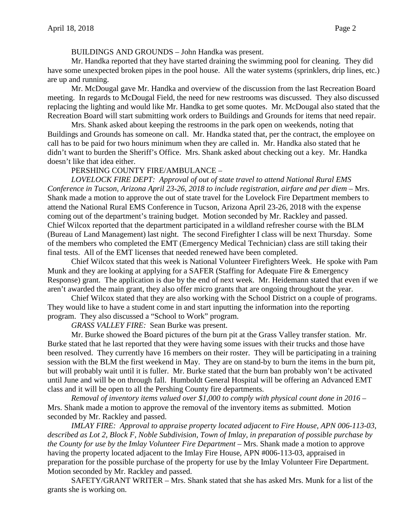### BUILDINGS AND GROUNDS – John Handka was present.

Mr. Handka reported that they have started draining the swimming pool for cleaning. They did have some unexpected broken pipes in the pool house. All the water systems (sprinklers, drip lines, etc.) are up and running.

Mr. McDougal gave Mr. Handka and overview of the discussion from the last Recreation Board meeting. In regards to McDougal Field, the need for new restrooms was discussed. They also discussed replacing the lighting and would like Mr. Handka to get some quotes. Mr. McDougal also stated that the Recreation Board will start submitting work orders to Buildings and Grounds for items that need repair.

Mrs. Shank asked about keeping the restrooms in the park open on weekends, noting that Buildings and Grounds has someone on call. Mr. Handka stated that, per the contract, the employee on call has to be paid for two hours minimum when they are called in. Mr. Handka also stated that he didn't want to burden the Sheriff's Office. Mrs. Shank asked about checking out a key. Mr. Handka doesn't like that idea either.

## PERSHING COUNTY FIRE/AMBULANCE –

*LOVELOCK FIRE DEPT: Approval of out of state travel to attend National Rural EMS Conference in Tucson, Arizona April 23-26, 2018 to include registration, airfare and per diem –* Mrs. Shank made a motion to approve the out of state travel for the Lovelock Fire Department members to attend the National Rural EMS Conference in Tucson, Arizona April 23-26, 2018 with the expense coming out of the department's training budget. Motion seconded by Mr. Rackley and passed. Chief Wilcox reported that the department participated in a wildland refresher course with the BLM (Bureau of Land Management) last night. The second Firefighter I class will be next Thursday. Some of the members who completed the EMT (Emergency Medical Technician) class are still taking their final tests. All of the EMT licenses that needed renewed have been completed.

Chief Wilcox stated that this week is National Volunteer Firefighters Week. He spoke with Pam Munk and they are looking at applying for a SAFER (Staffing for Adequate Fire & Emergency Response) grant. The application is due by the end of next week. Mr. Heidemann stated that even if we aren't awarded the main grant, they also offer micro grants that are ongoing throughout the year.

Chief Wilcox stated that they are also working with the School District on a couple of programs. They would like to have a student come in and start inputting the information into the reporting program. They also discussed a "School to Work" program.

*GRASS VALLEY FIRE:* Sean Burke was present.

Mr. Burke showed the Board pictures of the burn pit at the Grass Valley transfer station. Mr. Burke stated that he last reported that they were having some issues with their trucks and those have been resolved. They currently have 16 members on their roster. They will be participating in a training session with the BLM the first weekend in May. They are on stand-by to burn the items in the burn pit, but will probably wait until it is fuller. Mr. Burke stated that the burn ban probably won't be activated until June and will be on through fall. Humboldt General Hospital will be offering an Advanced EMT class and it will be open to all the Pershing County fire departments.

*Removal of inventory items valued over \$1,000 to comply with physical count done in 2016 –* Mrs. Shank made a motion to approve the removal of the inventory items as submitted. Motion seconded by Mr. Rackley and passed.

*IMLAY FIRE: Approval to appraise property located adjacent to Fire House, APN 006-113-03, described as Lot 2, Block F, Noble Subdivision, Town of Imlay, in preparation of possible purchase by the County for use by the Imlay Volunteer Fire Department –* Mrs. Shank made a motion to approve having the property located adjacent to the Imlay Fire House, APN #006-113-03, appraised in preparation for the possible purchase of the property for use by the Imlay Volunteer Fire Department. Motion seconded by Mr. Rackley and passed.

SAFETY/GRANT WRITER – Mrs. Shank stated that she has asked Mrs. Munk for a list of the grants she is working on.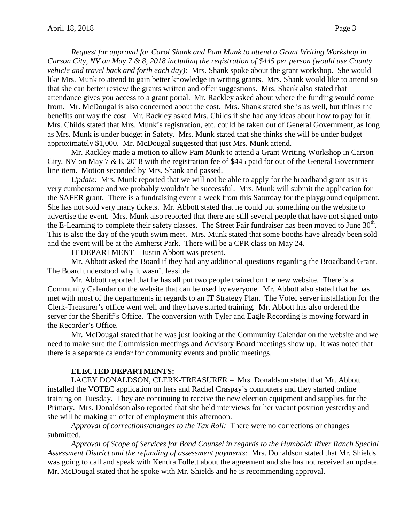*Request for approval for Carol Shank and Pam Munk to attend a Grant Writing Workshop in Carson City, NV on May 7 & 8, 2018 including the registration of \$445 per person (would use County vehicle and travel back and forth each day):* Mrs. Shank spoke about the grant workshop. She would like Mrs. Munk to attend to gain better knowledge in writing grants. Mrs. Shank would like to attend so that she can better review the grants written and offer suggestions. Mrs. Shank also stated that attendance gives you access to a grant portal. Mr. Rackley asked about where the funding would come from. Mr. McDougal is also concerned about the cost. Mrs. Shank stated she is as well, but thinks the benefits out way the cost. Mr. Rackley asked Mrs. Childs if she had any ideas about how to pay for it. Mrs. Childs stated that Mrs. Munk's registration, etc. could be taken out of General Government, as long as Mrs. Munk is under budget in Safety. Mrs. Munk stated that she thinks she will be under budget approximately \$1,000. Mr. McDougal suggested that just Mrs. Munk attend.

Mr. Rackley made a motion to allow Pam Munk to attend a Grant Writing Workshop in Carson City, NV on May  $7 \& 8$ , 2018 with the registration fee of \$445 paid for out of the General Government line item. Motion seconded by Mrs. Shank and passed.

*Update:* Mrs. Munk reported that we will not be able to apply for the broadband grant as it is very cumbersome and we probably wouldn't be successful. Mrs. Munk will submit the application for the SAFER grant. There is a fundraising event a week from this Saturday for the playground equipment. She has not sold very many tickets. Mr. Abbott stated that he could put something on the website to advertise the event. Mrs. Munk also reported that there are still several people that have not signed onto the E-Learning to complete their safety classes. The Street Fair fundraiser has been moved to June  $30<sup>th</sup>$ . This is also the day of the youth swim meet. Mrs. Munk stated that some booths have already been sold and the event will be at the Amherst Park. There will be a CPR class on May 24.

IT DEPARTMENT – Justin Abbott was present.

Mr. Abbott asked the Board if they had any additional questions regarding the Broadband Grant. The Board understood why it wasn't feasible.

Mr. Abbott reported that he has all put two people trained on the new website. There is a Community Calendar on the website that can be used by everyone. Mr. Abbott also stated that he has met with most of the departments in regards to an IT Strategy Plan. The Votec server installation for the Clerk-Treasurer's office went well and they have started training. Mr. Abbott has also ordered the server for the Sheriff's Office. The conversion with Tyler and Eagle Recording is moving forward in the Recorder's Office.

Mr. McDougal stated that he was just looking at the Community Calendar on the website and we need to make sure the Commission meetings and Advisory Board meetings show up. It was noted that there is a separate calendar for community events and public meetings.

### **ELECTED DEPARTMENTS:**

LACEY DONALDSON, CLERK-TREASURER – Mrs. Donaldson stated that Mr. Abbott installed the VOTEC application on hers and Rachel Craspay's computers and they started online training on Tuesday. They are continuing to receive the new election equipment and supplies for the Primary. Mrs. Donaldson also reported that she held interviews for her vacant position yesterday and she will be making an offer of employment this afternoon.

*Approval of corrections/changes to the Tax Roll:* There were no corrections or changes submitted.

*Approval of Scope of Services for Bond Counsel in regards to the Humboldt River Ranch Special Assessment District and the refunding of assessment payments:* Mrs. Donaldson stated that Mr. Shields was going to call and speak with Kendra Follett about the agreement and she has not received an update. Mr. McDougal stated that he spoke with Mr. Shields and he is recommending approval.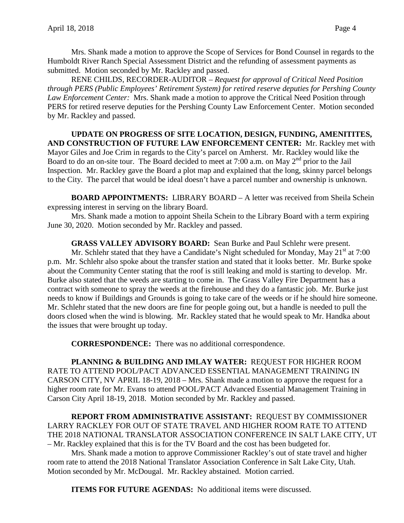Mrs. Shank made a motion to approve the Scope of Services for Bond Counsel in regards to the Humboldt River Ranch Special Assessment District and the refunding of assessment payments as submitted. Motion seconded by Mr. Rackley and passed.

RENE CHILDS, RECORDER-AUDITOR – *Request for approval of Critical Need Position through PERS (Public Employees' Retirement System) for retired reserve deputies for Pershing County Law Enforcement Center:* Mrs. Shank made a motion to approve the Critical Need Position through PERS for retired reserve deputies for the Pershing County Law Enforcement Center. Motion seconded by Mr. Rackley and passed.

## **UPDATE ON PROGRESS OF SITE LOCATION, DESIGN, FUNDING, AMENITITES, AND CONSTRUCTION OF FUTURE LAW ENFORCEMENT CENTER:** Mr. Rackley met with Mayor Giles and Joe Crim in regards to the City's parcel on Amherst. Mr. Rackley would like the Board to do an on-site tour. The Board decided to meet at 7:00 a.m. on May  $2<sup>nd</sup>$  prior to the Jail Inspection. Mr. Rackley gave the Board a plot map and explained that the long, skinny parcel belongs to the City. The parcel that would be ideal doesn't have a parcel number and ownership is unknown.

**BOARD APPOINTMENTS:** LIBRARY BOARD – A letter was received from Sheila Schein expressing interest in serving on the library Board.

Mrs. Shank made a motion to appoint Sheila Schein to the Library Board with a term expiring June 30, 2020. Motion seconded by Mr. Rackley and passed.

# **GRASS VALLEY ADVISORY BOARD:** Sean Burke and Paul Schlehr were present.

Mr. Schlehr stated that they have a Candidate's Night scheduled for Monday, May  $21<sup>st</sup>$  at 7:00 p.m. Mr. Schlehr also spoke about the transfer station and stated that it looks better. Mr. Burke spoke about the Community Center stating that the roof is still leaking and mold is starting to develop. Mr. Burke also stated that the weeds are starting to come in. The Grass Valley Fire Department has a contract with someone to spray the weeds at the firehouse and they do a fantastic job. Mr. Burke just needs to know if Buildings and Grounds is going to take care of the weeds or if he should hire someone. Mr. Schlehr stated that the new doors are fine for people going out, but a handle is needed to pull the doors closed when the wind is blowing. Mr. Rackley stated that he would speak to Mr. Handka about the issues that were brought up today.

**CORRESPONDENCE:** There was no additional correspondence.

**PLANNING & BUILDING AND IMLAY WATER:** REQUEST FOR HIGHER ROOM RATE TO ATTEND POOL/PACT ADVANCED ESSENTIAL MANAGEMENT TRAINING IN CARSON CITY, NV APRIL 18-19, 2018 – Mrs. Shank made a motion to approve the request for a higher room rate for Mr. Evans to attend POOL/PACT Advanced Essential Management Training in Carson City April 18-19, 2018. Motion seconded by Mr. Rackley and passed.

**REPORT FROM ADMINISTRATIVE ASSISTANT:** REQUEST BY COMMISSIONER LARRY RACKLEY FOR OUT OF STATE TRAVEL AND HIGHER ROOM RATE TO ATTEND THE 2018 NATIONAL TRANSLATOR ASSOCIATION CONFERENCE IN SALT LAKE CITY, UT – Mr. Rackley explained that this is for the TV Board and the cost has been budgeted for.

Mrs. Shank made a motion to approve Commissioner Rackley's out of state travel and higher room rate to attend the 2018 National Translator Association Conference in Salt Lake City, Utah. Motion seconded by Mr. McDougal. Mr. Rackley abstained. Motion carried.

**ITEMS FOR FUTURE AGENDAS:** No additional items were discussed.